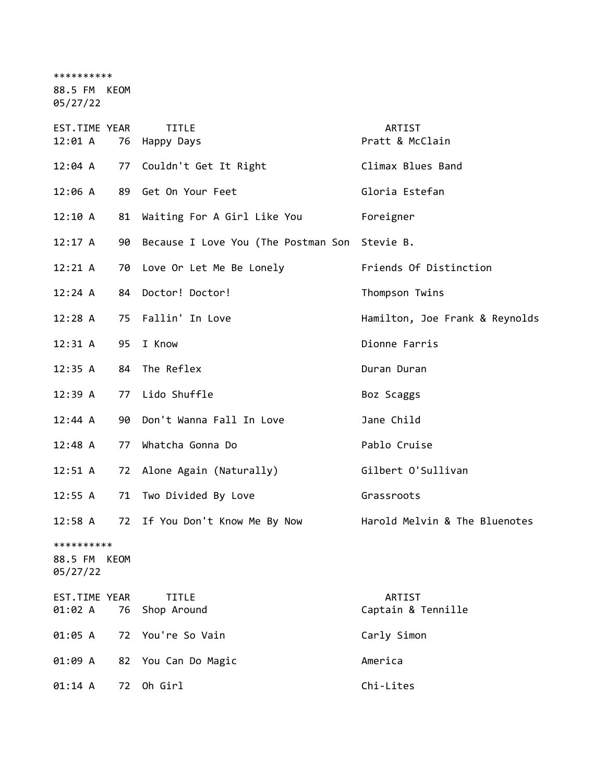\*\*\*\*\*\*\*\*\*\*

88.5 FM KEOM

05/27/22

| EST.TIME YEAR<br>12:01 A               | 76 | <b>TITLE</b><br>Happy Days                    | ARTIST<br>Pratt & McClain      |
|----------------------------------------|----|-----------------------------------------------|--------------------------------|
| 12:04 A                                |    | 77 Couldn't Get It Right                      | Climax Blues Band              |
| 12:06 A                                | 89 | Get On Your Feet                              | Gloria Estefan                 |
| 12:10 A                                | 81 | Waiting For A Girl Like You                   | Foreigner                      |
| 12:17A                                 | 90 | Because I Love You (The Postman Son Stevie B. |                                |
| 12:21 A                                | 70 | Love Or Let Me Be Lonely                      | Friends Of Distinction         |
| 12:24 A                                | 84 | Doctor! Doctor!                               | Thompson Twins                 |
| 12:28A                                 |    | 75 Fallin' In Love                            | Hamilton, Joe Frank & Reynolds |
| 12:31 A                                | 95 | I Know                                        | Dionne Farris                  |
| 12:35 A                                |    | 84 The Reflex                                 | Duran Duran                    |
| 12:39 A                                | 77 | Lido Shuffle                                  | Boz Scaggs                     |
| 12:44 A                                | 90 | Don't Wanna Fall In Love                      | Jane Child                     |
| 12:48 A                                | 77 | Whatcha Gonna Do                              | Pablo Cruise                   |
| 12:51 A                                | 72 | Alone Again (Naturally)                       | Gilbert O'Sullivan             |
| 12:55 A                                | 71 | Two Divided By Love                           | Grassroots                     |
| $12:58$ A                              |    | 72 If You Don't Know Me By Now                | Harold Melvin & The Bluenotes  |
| **********<br>88.5 FM KEOM<br>05/27/22 |    |                                               |                                |
| EST.TIME YEAR<br>01:02 A               | 76 | <b>TITLE</b><br>Shop Around                   | ARTIST<br>Captain & Tennille   |
| 01:05 A                                |    | 72 You're So Vain                             | Carly Simon                    |
| 01:09 A                                |    | 82 You Can Do Magic                           | America                        |
| 01:14 A                                | 72 | Oh Girl                                       | Chi-Lites                      |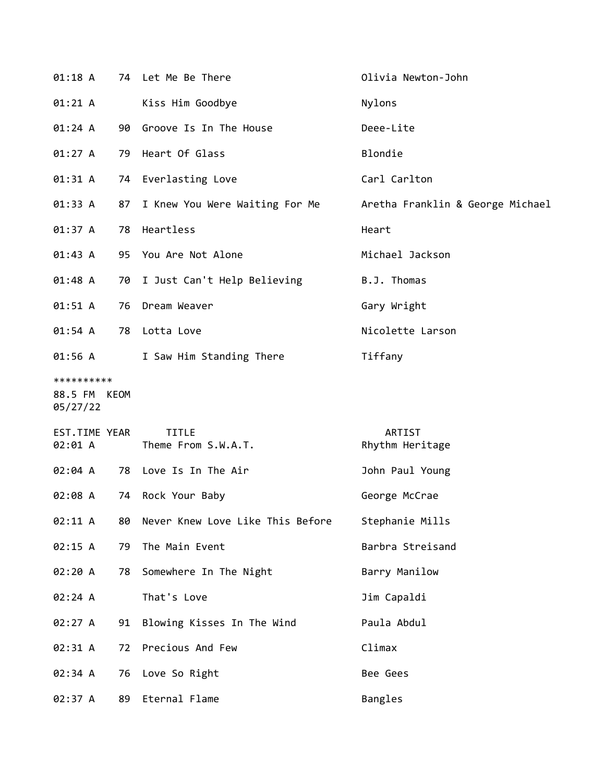| 01:18 A                                |    | 74 Let Me Be There                  | Olivia Newton-John               |
|----------------------------------------|----|-------------------------------------|----------------------------------|
| $01:21 \; A$                           |    | Kiss Him Goodbye                    | Nylons                           |
| 01:24 A                                |    | 90 Groove Is In The House           | Deee-Lite                        |
| 01:27 A                                |    | 79 Heart Of Glass                   | Blondie                          |
| 01:31 A                                |    | 74 Everlasting Love                 | Carl Carlton                     |
| 01:33 A                                |    | 87 I Knew You Were Waiting For Me   | Aretha Franklin & George Michael |
| 01:37 A                                |    | 78 Heartless                        | Heart                            |
| 01:43 A                                |    | 95 You Are Not Alone                | Michael Jackson                  |
| 01:48 A                                |    | 70 I Just Can't Help Believing      | B.J. Thomas                      |
| 01:51 A                                |    | 76 Dream Weaver                     | Gary Wright                      |
| 01:54 A                                |    | 78 Lotta Love                       | Nicolette Larson                 |
| 01:56 A                                |    | I Saw Him Standing There            | Tiffany                          |
| **********<br>88.5 FM KEOM<br>05/27/22 |    |                                     |                                  |
| EST.TIME YEAR<br>02:01 A               |    | <b>TITLE</b><br>Theme From S.W.A.T. | ARTIST<br>Rhythm Heritage        |
| 02:04 A                                |    | 78 Love Is In The Air               | John Paul Young                  |
| 02:08 A                                |    | 74 Rock Your Baby                   | George McCrae                    |
| 02:11 A                                | 80 | Never Knew Love Like This Before    | Stephanie Mills                  |
| 02:15 A                                | 79 | The Main Event                      | Barbra Streisand                 |
| 02:20 A                                | 78 | Somewhere In The Night              | Barry Manilow                    |
| 02:24 A                                |    | That's Love                         | Jim Capaldi                      |
| 02:27 A                                | 91 | Blowing Kisses In The Wind          | Paula Abdul                      |

02:31 A 72 Precious And Few Climax

02:34 A 76 Love So Right Bee Gees

02:37 A 89 Eternal Flame Bangles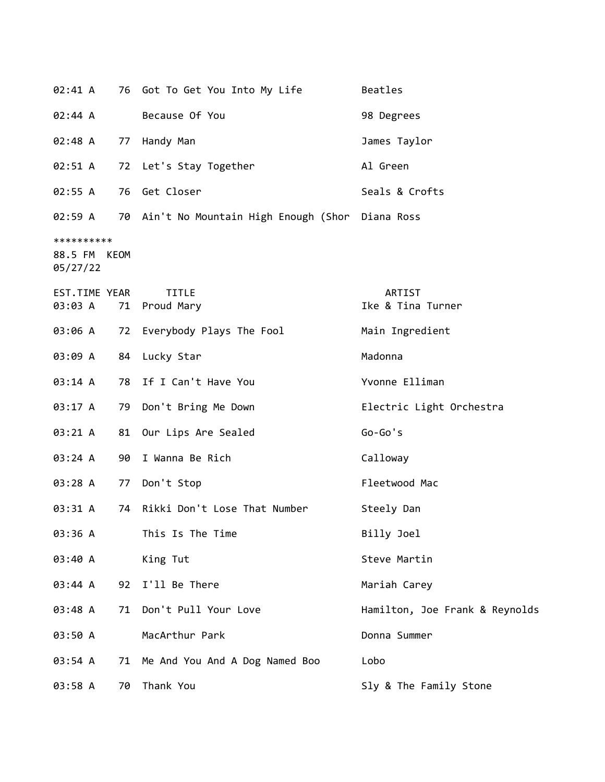| 02:41 A                                |    | 76   Got To Get You Into My Life                  | Beatles                        |
|----------------------------------------|----|---------------------------------------------------|--------------------------------|
| 02:44 A                                |    | Because Of You                                    | 98 Degrees                     |
| 02:48 A                                | 77 | Handy Man                                         | James Taylor                   |
| 02:51 A                                |    | 72 Let's Stay Together                            | Al Green                       |
| 02:55 A                                |    | 76 Get Closer                                     | Seals & Crofts                 |
| 02:59 A                                |    | 70 Ain't No Mountain High Enough (Shor Diana Ross |                                |
| **********<br>88.5 FM KEOM<br>05/27/22 |    |                                                   |                                |
| EST.TIME YEAR<br>03:03 A               | 71 | <b>TITLE</b><br>Proud Mary                        | ARTIST<br>Ike & Tina Turner    |
| 03:06 A                                |    | 72 Everybody Plays The Fool                       | Main Ingredient                |
| 03:09 A                                | 84 | Lucky Star                                        | Madonna                        |
| 03:14 A                                | 78 | If I Can't Have You                               | Yvonne Elliman                 |
| 03:17 A                                | 79 | Don't Bring Me Down                               | Electric Light Orchestra       |
| 03:21 A                                | 81 | Our Lips Are Sealed                               | $Go-Go's$                      |
| 03:24 A                                | 90 | I Wanna Be Rich                                   | Calloway                       |
| 03:28 A                                | 77 | Don't Stop                                        | Fleetwood Mac                  |
| 03:31 A                                | 74 | Rikki Don't Lose That Number                      | Steely Dan                     |
| 03:36 A                                |    | This Is The Time                                  | Billy Joel                     |
| 03:40 A                                |    | King Tut                                          | Steve Martin                   |
| 03:44 A                                | 92 | I'll Be There                                     | Mariah Carey                   |
| 03:48 A                                | 71 | Don't Pull Your Love                              | Hamilton, Joe Frank & Reynolds |
| 03:50 A                                |    | MacArthur Park                                    | Donna Summer                   |
| 03:54 A                                | 71 | Me And You And A Dog Named Boo                    | Lobo                           |
| 03:58 A                                | 70 | Thank You                                         | Sly & The Family Stone         |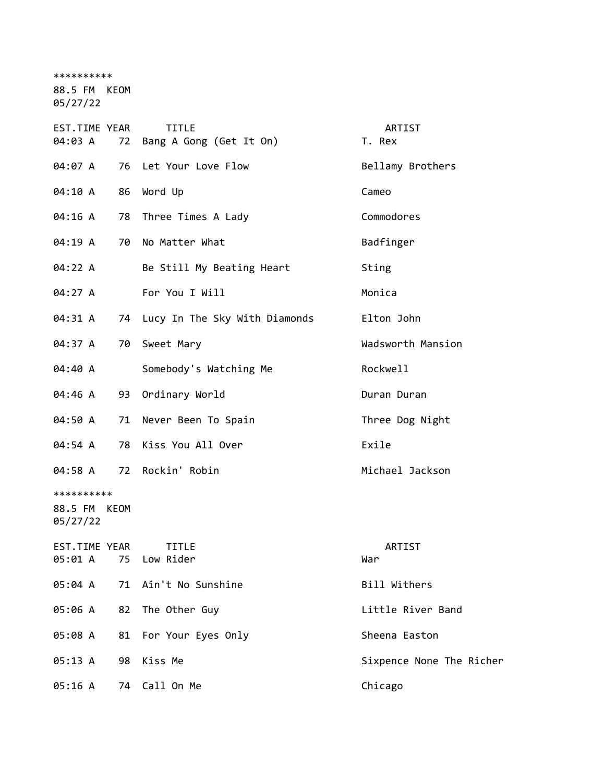\*\*\*\*\*\*\*\*\*\*

88.5 FM KEOM

05/27/22

| EST.TIME YEAR<br>04:03 A               |    | <b>TITLE</b><br>72 Bang A Gong (Get It On) | ARTIST<br>T. Rex         |
|----------------------------------------|----|--------------------------------------------|--------------------------|
| 04:07 A                                |    | 76 Let Your Love Flow                      | Bellamy Brothers         |
| 04:10 A                                | 86 | Word Up                                    | Cameo                    |
| 04:16 A                                | 78 | Three Times A Lady                         | Commodores               |
| 04:19 A                                | 70 | No Matter What                             | Badfinger                |
| 04:22 A                                |    | Be Still My Beating Heart                  | Sting                    |
| 04:27 A                                |    | For You I Will                             | Monica                   |
| 04:31 A                                |    | 74 Lucy In The Sky With Diamonds           | Elton John               |
| 04:37 A                                | 70 | Sweet Mary                                 | Wadsworth Mansion        |
| 04:40 A                                |    | Somebody's Watching Me                     | Rockwell                 |
| 04:46 A                                | 93 | Ordinary World                             | Duran Duran              |
| 04:50 A                                | 71 | Never Been To Spain                        | Three Dog Night          |
| 04:54 A                                | 78 | Kiss You All Over                          | Exile                    |
| 04:58 A                                |    | 72 Rockin' Robin                           | Michael Jackson          |
| **********<br>88.5 FM KEOM<br>05/27/22 |    |                                            |                          |
| <b>EST.TIME YEAR</b><br>05:01 A        | 75 | <b>TITLE</b><br>Low Rider                  | ARTIST<br>War            |
| 05:04 A                                |    | 71 Ain't No Sunshine                       | Bill Withers             |
| 05:06 A                                | 82 | The Other Guy                              | Little River Band        |
| 05:08 A                                | 81 | For Your Eyes Only                         | Sheena Easton            |
| 05:13 A                                | 98 | Kiss Me                                    | Sixpence None The Richer |

05:16 A 74 Call On Me Chicago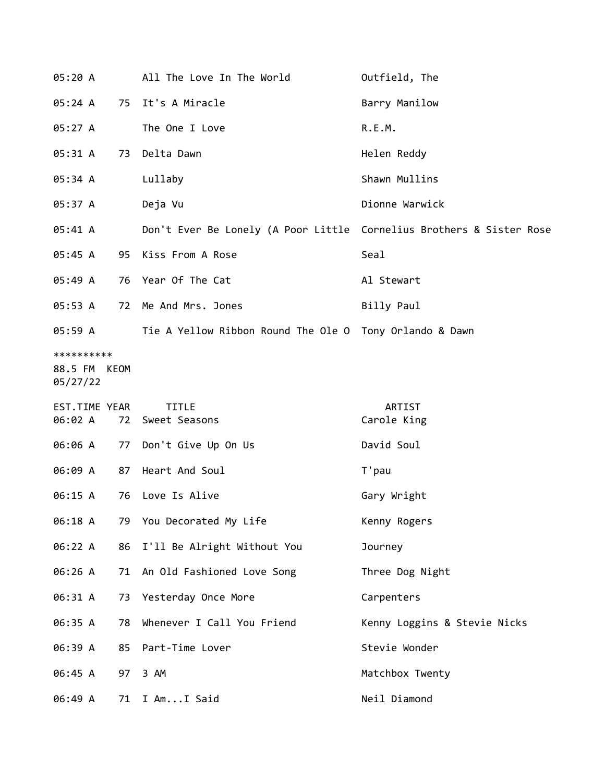| 05:20 A                                |    | All The Love In The World                                            | Outfield, The                |
|----------------------------------------|----|----------------------------------------------------------------------|------------------------------|
| 05:24 A                                |    | 75 It's A Miracle                                                    | Barry Manilow                |
| 05:27 A                                |    | The One I Love                                                       | R.E.M.                       |
| 05:31 A                                | 73 | Delta Dawn                                                           | Helen Reddy                  |
| 05:34 A                                |    | Lullaby                                                              | Shawn Mullins                |
| 05:37 A                                |    | Deja Vu                                                              | Dionne Warwick               |
| 05:41 A                                |    | Don't Ever Be Lonely (A Poor Little Cornelius Brothers & Sister Rose |                              |
| 05:45 A                                |    | 95 Kiss From A Rose                                                  | Seal                         |
| 05:49 A                                |    | 76 Year Of The Cat                                                   | Al Stewart                   |
| 05:53 A                                |    | 72 Me And Mrs. Jones                                                 | Billy Paul                   |
| 05:59 A                                |    | Tie A Yellow Ribbon Round The Ole O Tony Orlando & Dawn              |                              |
| **********<br>88.5 FM KEOM<br>05/27/22 |    |                                                                      |                              |
|                                        |    |                                                                      |                              |
| EST.TIME YEAR<br>06:02 A               | 72 | <b>TITLE</b><br>Sweet Seasons                                        | ARTIST<br>Carole King        |
| 06:06 A                                |    | 77 Don't Give Up On Us                                               | David Soul                   |
| 06:09 A                                | 87 | Heart And Soul                                                       | T'pau                        |
| 06:15 A                                |    | 76 Love Is Alive                                                     | Gary Wright                  |
| 06:18 A                                |    | 79 You Decorated My Life                                             | Kenny Rogers                 |
| 06:22 A                                | 86 | I'll Be Alright Without You                                          | Journey                      |
| 06:26 A                                |    | 71 An Old Fashioned Love Song                                        | Three Dog Night              |
| 06:31 A                                |    | 73 Yesterday Once More                                               | Carpenters                   |
| 06:35 A                                | 78 | Whenever I Call You Friend                                           | Kenny Loggins & Stevie Nicks |
| 06:39 A                                |    | 85 Part-Time Lover                                                   | Stevie Wonder                |
| 06:45 A                                | 97 | 3 AM                                                                 | Matchbox Twenty              |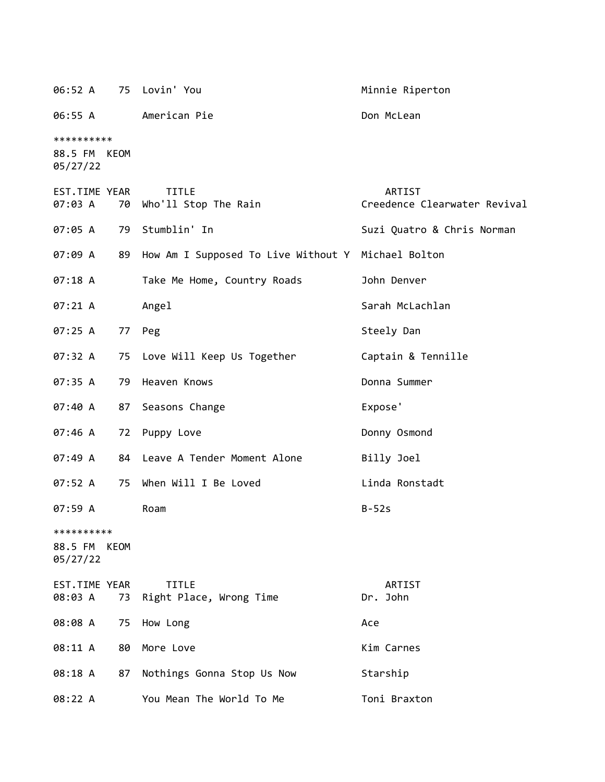06:52 A 75 Lovin' You Minnie Riperton 06:55 A American Pie Don McLean \*\*\*\*\*\*\*\*\*\* 88.5 FM KEOM 05/27/22 EST.TIME YEAR TITLE ARTIST 07:03 A 70 Who'll Stop The Rain The Creedence Clearwater Revival 07:05 A 79 Stumblin' In Suzi Quatro & Chris Norman 07:09 A 89 How Am I Supposed To Live Without Y Michael Bolton 07:18 A Take Me Home, Country Roads John Denver 07:21 A Angel Angel Sarah McLachlan 07:25 A 77 Peg Steely Dan 07:32 A 75 Love Will Keep Us Together Captain & Tennille 07:35 A 79 Heaven Knows Donna Summer 07:40 A 87 Seasons Change **Expose**' 07:46 A 72 Puppy Love Donny Osmond 07:49 A 84 Leave A Tender Moment Alone Billy Joel 07:52 A 75 When Will I Be Loved Linda Ronstadt 07:59 A Roam B-52s \*\*\*\*\*\*\*\*\*\* 88.5 FM KEOM 05/27/22 EST.TIME YEAR TITLE ARTIST 08:03 A 73 Right Place, Wrong Time Dr. John 08:08 A 75 How Long 2008 10 Ace 08:11 A 80 More Love **Kim Carnes** Kim Carnes 08:18 A 87 Nothings Gonna Stop Us Now Starship 08:22 A You Mean The World To Me Toni Braxton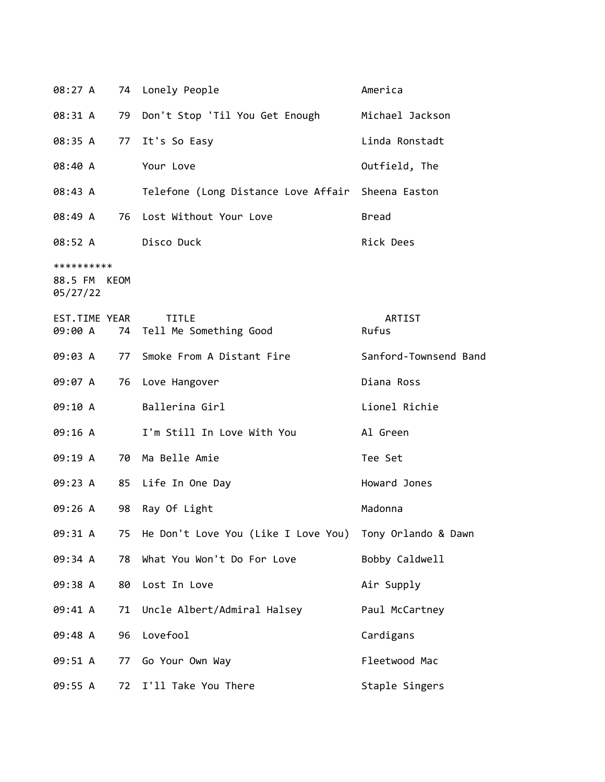| 08:27 A                                |    | 74 Lonely People                                        | America               |
|----------------------------------------|----|---------------------------------------------------------|-----------------------|
| 08:31 A                                |    | 79 Don't Stop 'Til You Get Enough                       | Michael Jackson       |
| 08:35 A                                |    | 77 It's So Easy                                         | Linda Ronstadt        |
| 08:40 A                                |    | Your Love                                               | Outfield, The         |
| 08:43 A                                |    | Telefone (Long Distance Love Affair Sheena Easton       |                       |
|                                        |    | 08:49 A 76 Lost Without Your Love                       | <b>Bread</b>          |
|                                        |    | 08:52 A Disco Duck                                      | Rick Dees             |
| **********<br>88.5 FM KEOM<br>05/27/22 |    |                                                         |                       |
| EST.TIME YEAR                          |    | <b>TITLE</b><br>09:00 A 74 Tell Me Something Good       | ARTIST<br>Rufus       |
|                                        |    | 09:03 A 77 Smoke From A Distant Fire                    | Sanford-Townsend Band |
| 09:07 A                                |    | 76 Love Hangover                                        | Diana Ross            |
| 09:10 A                                |    | Ballerina Girl                                          | Lionel Richie         |
| 09:16 A                                |    | I'm Still In Love With You                              | Al Green              |
| 09:19 A                                |    | 70 Ma Belle Amie                                        | Tee Set               |
| 09:23 A                                |    | 85 Life In One Day                                      | Howard Jones          |
| 09:26 A                                |    | 98 Ray Of Light                                         | Madonna               |
| 09:31 A                                | 75 | He Don't Love You (Like I Love You) Tony Orlando & Dawn |                       |
| 09:34 A                                | 78 | What You Won't Do For Love                              | Bobby Caldwell        |
| 09:38 A                                | 80 | Lost In Love                                            | Air Supply            |
| 09:41 A                                | 71 | Uncle Albert/Admiral Halsey                             | Paul McCartney        |
| 09:48 A                                | 96 | Lovefool                                                | Cardigans             |
| 09:51 A                                | 77 | Go Your Own Way                                         | Fleetwood Mac         |
| 09:55 A                                |    | 72 I'll Take You There                                  | Staple Singers        |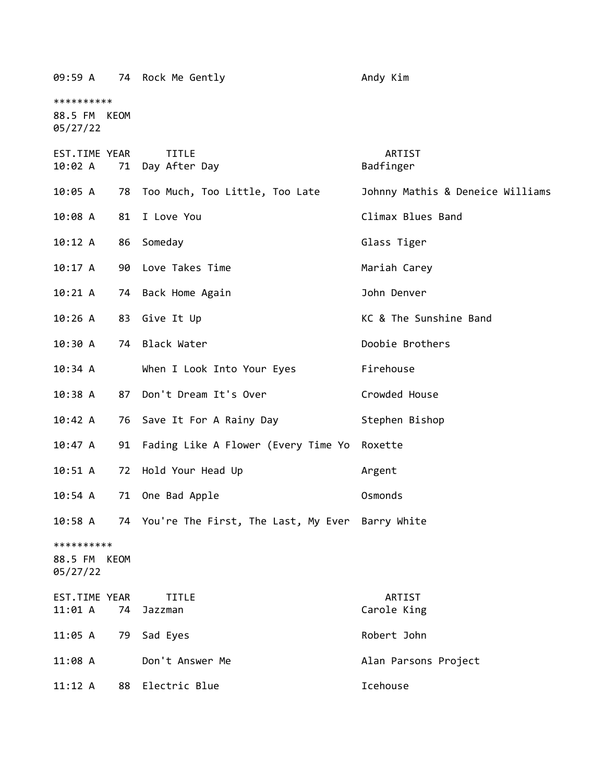| 09:59 A                                |    | 74 Rock Me Gently                                  | Andy Kim                         |
|----------------------------------------|----|----------------------------------------------------|----------------------------------|
| **********                             |    |                                                    |                                  |
| 88.5 FM KEOM<br>05/27/22               |    |                                                    |                                  |
| EST.TIME YEAR<br>10:02 A               | 71 | <b>TITLE</b><br>Day After Day                      | ARTIST<br>Badfinger              |
| 10:05 A                                | 78 | Too Much, Too Little, Too Late                     | Johnny Mathis & Deneice Williams |
| 10:08 A                                | 81 | I Love You                                         | Climax Blues Band                |
| 10:12 A                                | 86 | Someday                                            | Glass Tiger                      |
| 10:17 A                                | 90 | Love Takes Time                                    | Mariah Carey                     |
| 10:21 A                                | 74 | Back Home Again                                    | John Denver                      |
| 10:26 A                                | 83 | Give It Up                                         | KC & The Sunshine Band           |
| 10:30 A                                | 74 | Black Water                                        | Doobie Brothers                  |
| 10:34 A                                |    | When I Look Into Your Eyes                         | Firehouse                        |
| 10:38 A                                | 87 | Don't Dream It's Over                              | Crowded House                    |
| 10:42 A                                |    | 76 Save It For A Rainy Day                         | Stephen Bishop                   |
| 10:47 A                                | 91 | Fading Like A Flower (Every Time Yo                | Roxette                          |
| 10:51 A                                | 72 | Hold Your Head Up                                  | Argent                           |
| 10:54 A                                | 71 | One Bad Apple                                      | Osmonds                          |
| 10:58A                                 |    | 74 You're The First, The Last, My Ever Barry White |                                  |
| **********<br>88.5 FM KEOM<br>05/27/22 |    |                                                    |                                  |
| EST.TIME YEAR<br>11:01 A               | 74 | <b>TITLE</b><br>Jazzman                            | ARTIST<br>Carole King            |
| 11:05 A                                | 79 | Sad Eyes                                           | Robert John                      |
| $11:08$ A                              |    | Don't Answer Me                                    | Alan Parsons Project             |
| 11:12 A                                |    | 88 Electric Blue                                   | Icehouse                         |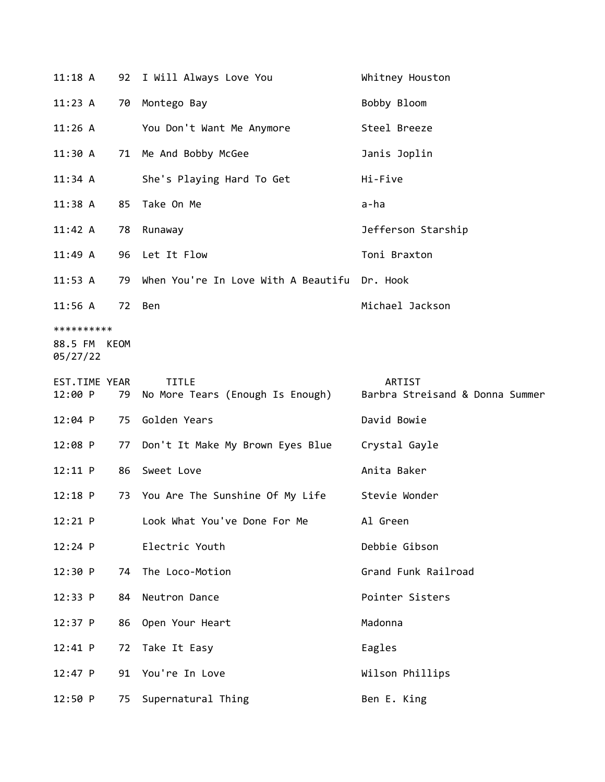| 11:18A                                 |    | 92 I Will Always Love You                        | Whitney Houston                                  |
|----------------------------------------|----|--------------------------------------------------|--------------------------------------------------|
| 11:23 A                                | 70 | Montego Bay                                      | Bobby Bloom                                      |
| 11:26 A                                |    | You Don't Want Me Anymore                        | Steel Breeze                                     |
| 11:30 A                                |    | 71 Me And Bobby McGee                            | Janis Joplin                                     |
| $11:34$ A                              |    | She's Playing Hard To Get                        | Hi-Five                                          |
| 11:38A                                 | 85 | Take On Me                                       | a-ha                                             |
| 11:42 A                                |    | 78 Runaway                                       | Jefferson Starship                               |
| $11:49$ A                              |    | 96 Let It Flow                                   | Toni Braxton                                     |
| 11:53 A                                | 79 | When You're In Love With A Beautifu Dr. Hook     |                                                  |
| 11:56 A                                |    | 72 Ben                                           | Michael Jackson                                  |
| **********<br>88.5 FM KEOM<br>05/27/22 |    |                                                  |                                                  |
| EST.TIME YEAR<br>12:00 P               | 79 | <b>TITLE</b><br>No More Tears (Enough Is Enough) | <b>ARTIST</b><br>Barbra Streisand & Donna Summer |
| $12:04$ P                              | 75 | Golden Years                                     | David Bowie                                      |
| 12:08 P                                | 77 | Don't It Make My Brown Eyes Blue                 | Crystal Gayle                                    |
| 12:11 P                                | 86 | Sweet Love                                       | Anita Baker                                      |
| $12:18$ P                              |    |                                                  |                                                  |
|                                        |    | 73 You Are The Sunshine Of My Life               | Stevie Wonder                                    |
| $12:21$ P                              |    | Look What You've Done For Me                     | Al Green                                         |
| $12:24$ P                              |    | Electric Youth                                   | Debbie Gibson                                    |
| 12:30 P                                | 74 | The Loco-Motion                                  | Grand Funk Railroad                              |
| 12:33 P                                | 84 | Neutron Dance                                    | Pointer Sisters                                  |
| 12:37 P                                | 86 | Open Your Heart                                  | Madonna                                          |
| 12:41 P                                | 72 | Take It Easy                                     | Eagles                                           |
| 12:47 P                                | 91 | You're In Love                                   | Wilson Phillips                                  |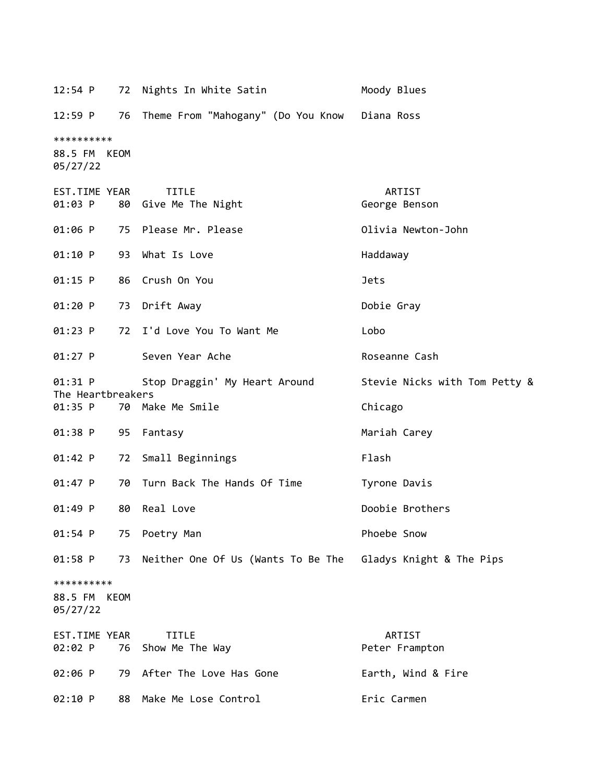12:54 P 72 Nights In White Satin Moody Blues 12:59 P 76 Theme From "Mahogany" (Do You Know Diana Ross \*\*\*\*\*\*\*\*\*\* 88.5 FM KEOM 05/27/22 EST.TIME YEAR TITLE ARTIST 01:03 P 80 Give Me The Night George Benson 01:06 P 75 Please Mr. Please Contract March 2011 Please Point Please Please Point Please Please Please Please 01:10 P 93 What Is Love **And Access 12 Addaway** 01:15 P 86 Crush On You Dets 01:20 P 73 Drift Away **Dobie Gray** Dobie Gray 01:23 P 72 I'd Love You To Want Me Lobo 01:27 P Seven Year Ache **Roseanne Cash** 01:31 P Stop Draggin' My Heart Around Stevie Nicks with Tom Petty & The Heartbreakers 01:35 P 70 Make Me Smile Chicago 01:38 P 95 Fantasy Mariah Carey 01:42 P 72 Small Beginnings Flash 01:47 P 70 Turn Back The Hands Of Time Tyrone Davis 01:49 P 80 Real Love **Doobie Brothers** 01:54 P 75 Poetry Man Phoebe Snow 01:58 P 73 Neither One Of Us (Wants To Be The Gladys Knight & The Pips \*\*\*\*\*\*\*\*\*\* 88.5 FM KEOM 05/27/22 EST.TIME YEAR TITLE ARTIST 02:02 P 76 Show Me The Way Metal Peter Frampton 02:06 P 79 After The Love Has Gone Farth, Wind & Fire 02:10 P 88 Make Me Lose Control Eric Carmen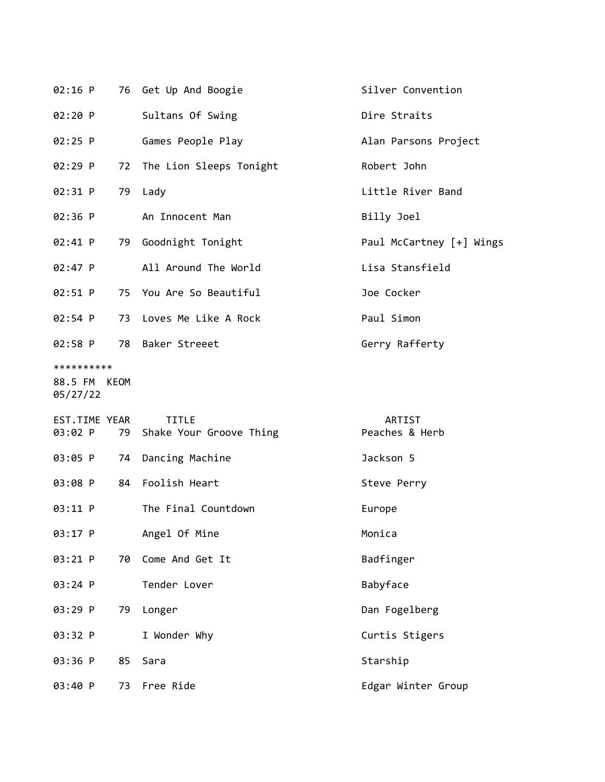| 02:16 P                  | 76 Get Up And Boogie       | Silver Convention        |
|--------------------------|----------------------------|--------------------------|
| 02:20 P                  | Sultans Of Swing           | Dire Straits             |
| $02:25$ P                | Games People Play          | Alan Parsons Project     |
| 02:29 P                  | 72 The Lion Sleeps Tonight | Robert John              |
| 02:31 P                  | 79 Lady                    | Little River Band        |
| 02:36 P                  | An Innocent Man            | Billy Joel               |
| 02:41 P                  | 79 Goodnight Tonight       | Paul McCartney [+] Wings |
| 02:47 P                  | All Around The World       | Lisa Stansfield          |
| 02:51 P                  | 75 You Are So Beautiful    | Joe Cocker               |
| 02:54 P                  | 73 Loves Me Like A Rock    | Paul Simon               |
| 02:58 P                  | 78 Baker Streeet           | Gerry Rafferty           |
| **********               |                            |                          |
| 88.5 FM KEOM<br>05/27/22 |                            |                          |
| EST.TIME YEAR            | <b>TITLE</b>               | ARTIST                   |

| LJI • I LIIL I LAIN<br>03:02 P | 79 Shake Your Groove Thing | ᄼᅠᅟᅠ<br>Peaches & Herb |
|--------------------------------|----------------------------|------------------------|
|                                | 03:05 P 74 Dancing Machine | Jackson 5              |
|                                | 03:08 P 84 Foolish Heart   | Steve Perry            |
| 03:11 P                        | The Final Countdown        | Europe                 |
| 03:17 P                        | Angel Of Mine              | Monica                 |
| 03:21 P                        | 70 Come And Get It         | Badfinger              |
| 03:24 P                        | Tender Lover               | Babyface               |
| 03:29 P                        | 79 Longer                  | Dan Fogelberg          |
| 03:32 P                        | I Wonder Why               | Curtis Stigers         |
| 03:36 P<br>85                  | Sara                       | Starship               |
| 03:40 P                        | 73 Free Ride               | Edgar Winter Group     |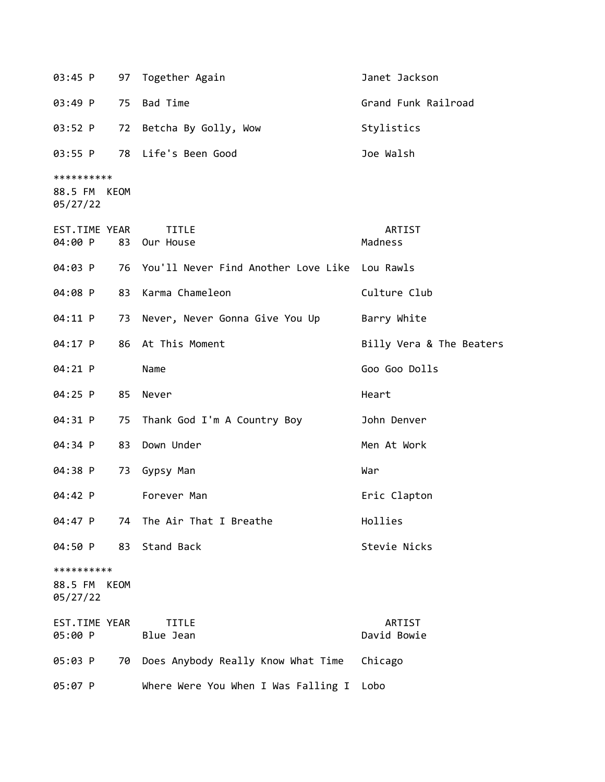| 03:45 P                           |      | 97 Together Again                             | Janet Jackson            |
|-----------------------------------|------|-----------------------------------------------|--------------------------|
| 03:49 P                           | 75   | Bad Time                                      | Grand Funk Railroad      |
| 03:52 P                           | 72   | Betcha By Golly, Wow                          | Stylistics               |
| 03:55 P                           | 78   | Life's Been Good                              | Joe Walsh                |
| **********<br>88.5 FM<br>05/27/22 | KEOM |                                               |                          |
| EST.TIME YEAR<br>04:00 P          |      | <b>TITLE</b><br>83 Our House                  | ARTIST<br>Madness        |
| 04:03 P                           | 76   | You'll Never Find Another Love Like Lou Rawls |                          |
| 04:08 P                           | 83   | Karma Chameleon                               | Culture Club             |
| 04:11 P                           | 73   | Never, Never Gonna Give You Up                | Barry White              |
| 04:17 P                           | 86   | At This Moment                                | Billy Vera & The Beaters |
| 04:21 P                           |      | Name                                          | Goo Goo Dolls            |
|                                   |      |                                               |                          |
| 04:25 P                           | 85   | Never                                         | Heart                    |
| 04:31 P                           | 75   | Thank God I'm A Country Boy                   | John Denver              |
| 04:34 P                           | 83   | Down Under                                    | Men At Work              |
| 04:38 P                           | 73   | Gypsy Man                                     | War                      |
| 04:42 P                           |      | Forever Man                                   | Eric Clapton             |
| 04:47 P                           | 74   | The Air That I Breathe                        | Hollies                  |
| 04:50 P                           | 83   | Stand Back                                    | Stevie Nicks             |
| **********<br>88.5 FM<br>05/27/22 | KEOM |                                               |                          |
| EST.TIME YEAR<br>05:00 P          |      | <b>TITLE</b><br>Blue Jean                     | ARTIST<br>David Bowie    |
| 05:03 P                           | 70   | Does Anybody Really Know What Time            | Chicago                  |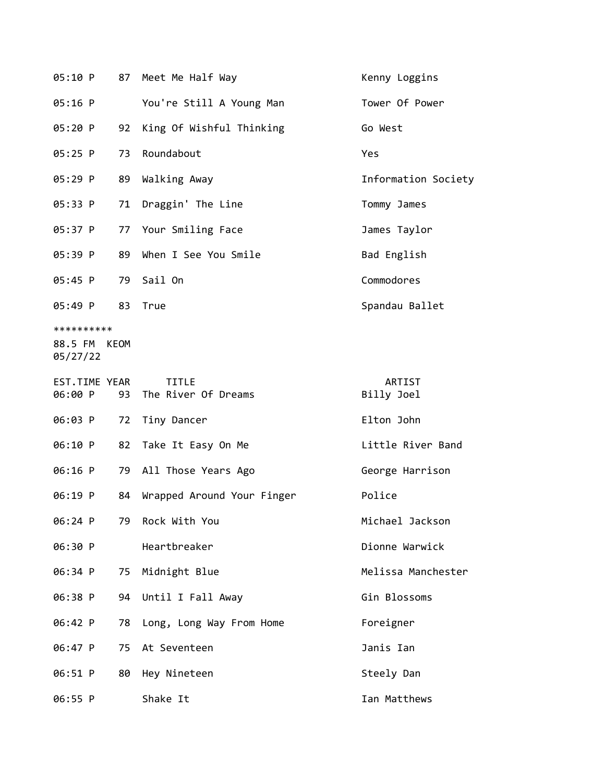| 05:10 P                                |    | 87 Meet Me Half Way                 | Kenny Loggins        |
|----------------------------------------|----|-------------------------------------|----------------------|
| 05:16 P                                |    | You're Still A Young Man            | Tower Of Power       |
| 05:20 P                                | 92 | King Of Wishful Thinking            | Go West              |
| 05:25 P                                | 73 | Roundabout                          | Yes                  |
| 05:29 P                                | 89 | Walking Away                        | Information Society  |
| 05:33 P                                | 71 | Draggin' The Line                   | Tommy James          |
| 05:37 P                                |    | 77 Your Smiling Face                | James Taylor         |
| 05:39 P                                | 89 | When I See You Smile                | Bad English          |
| 05:45 P                                | 79 | Sail On                             | Commodores           |
| 05:49 P                                | 83 | True                                | Spandau Ballet       |
| **********<br>88.5 FM KEOM<br>05/27/22 |    |                                     |                      |
| EST.TIME YEAR<br>06:00 P               | 93 | <b>TITLE</b><br>The River Of Dreams | ARTIST<br>Billy Joel |
| 06:03 P                                | 72 | Tiny Dancer                         | Elton John           |
| 06:10 P                                |    | 82 Take It Easy On Me               | Little River Band    |
| 06:16 P                                |    | 79 All Those Years Ago              | George Harrison      |
| 06:19 P                                | 84 | Wrapped Around Your Finger          | Police               |
| 06:24 P                                | 79 | Rock With You                       | Michael Jackson      |
| 06:30 P                                |    | Heartbreaker                        | Dionne Warwick       |
| 06:34 P                                | 75 | Midnight Blue                       | Melissa Manchester   |
| 06:38 P                                | 94 | Until I Fall Away                   | Gin Blossoms         |
| 06:42 P                                | 78 | Long, Long Way From Home            | Foreigner            |
| 06:47 P                                | 75 | At Seventeen                        | Janis Ian            |
| 06:51 P                                | 80 | Hey Nineteen                        | Steely Dan           |
| 06:55 P                                |    | Shake It                            | Ian Matthews         |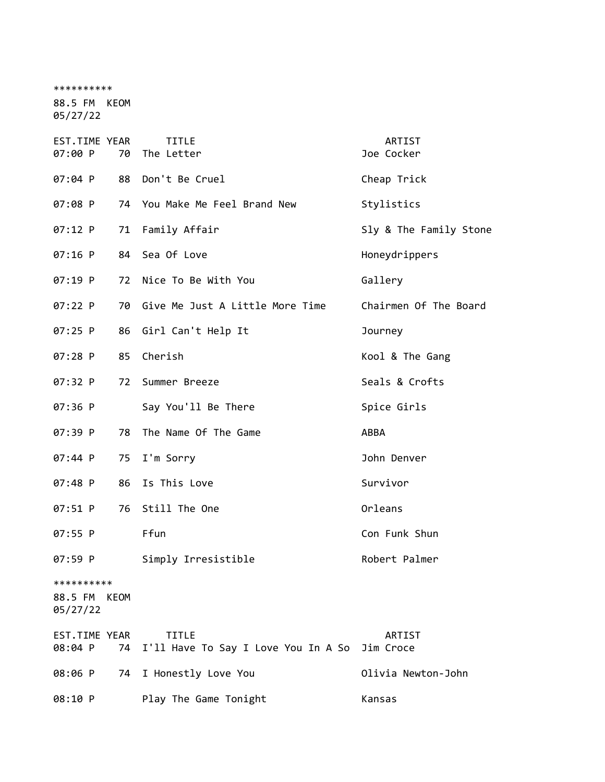\*\*\*\*\*\*\*\*\*\*

88.5 FM KEOM 05/27/22

| EST.TIME YEAR<br>07:00 P          | 70   | <b>TITLE</b><br>The Letter                   | ARTIST<br>Joe Cocker   |
|-----------------------------------|------|----------------------------------------------|------------------------|
| 07:04 P                           |      | 88 Don't Be Cruel                            | Cheap Trick            |
| 07:08 P                           | 74   | You Make Me Feel Brand New                   | Stylistics             |
| 07:12 P                           | 71   | Family Affair                                | Sly & The Family Stone |
| $07:16$ P                         |      | 84 Sea Of Love                               | Honeydrippers          |
| 07:19 P                           | 72   | Nice To Be With You                          | Gallery                |
| 07:22 P                           | 70   | Give Me Just A Little More Time              | Chairmen Of The Board  |
| $07:25$ P                         | 86   | Girl Can't Help It                           | Journey                |
| $07:28$ P                         | 85   | Cherish                                      | Kool & The Gang        |
| 07:32 P                           | 72   | Summer Breeze                                | Seals & Crofts         |
| 07:36 P                           |      | Say You'll Be There                          | Spice Girls            |
| 07:39 P                           | 78   | The Name Of The Game                         | <b>ABBA</b>            |
| 07:44 P                           | 75   | I'm Sorry                                    | John Denver            |
| 07:48 P                           | 86   | Is This Love                                 | Survivor               |
| 07:51 P                           | 76   | Still The One                                | Orleans                |
| 07:55 P                           |      | Ffun                                         | Con Funk Shun          |
| 07:59 P                           |      | Simply Irresistible                          | Robert Palmer          |
| **********<br>88.5 FM<br>05/27/22 | KEOM |                                              |                        |
| EST.TIME YEAR<br>08:04 P          | 74   | TITLE<br>I'll Have To Say I Love You In A So | ARTIST<br>Jim Croce    |
| 08:06 P                           | 74   | I Honestly Love You                          | Olivia Newton-John     |
| 08:10 P                           |      | Play The Game Tonight                        | Kansas                 |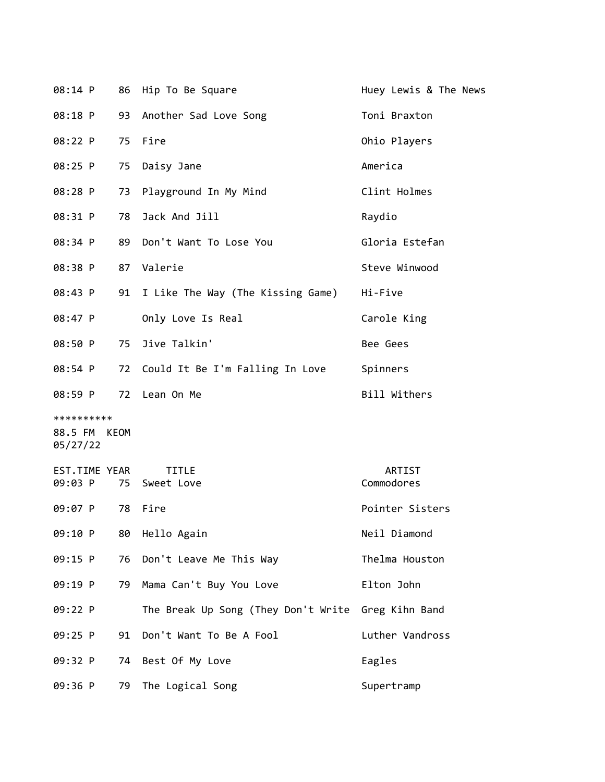| 08:14 P                  |    | 86 Hip To Be Square                                | Huey Lewis & The News |
|--------------------------|----|----------------------------------------------------|-----------------------|
| 08:18 P                  |    | 93 Another Sad Love Song                           | Toni Braxton          |
| 08:22 P                  |    | 75 Fire                                            | Ohio Players          |
| 08:25 P                  |    | 75 Daisy Jane                                      | America               |
| 08:28 P                  |    | 73 Playground In My Mind                           | Clint Holmes          |
| 08:31 P                  | 78 | Jack And Jill                                      | Raydio                |
| 08:34 P                  |    | 89 Don't Want To Lose You                          | Gloria Estefan        |
| 08:38 P                  |    | 87 Valerie                                         | Steve Winwood         |
| 08:43 P                  |    | 91 I Like The Way (The Kissing Game)               | Hi-Five               |
| 08:47 P                  |    | Only Love Is Real                                  | Carole King           |
| 08:50 P                  | 75 | Jive Talkin'                                       | Bee Gees              |
| 08:54 P                  |    | 72 Could It Be I'm Falling In Love Spinners        |                       |
| 08:59 P                  | 72 | Lean On Me                                         | Bill Withers          |
| **********               |    |                                                    |                       |
| 88.5 FM KEOM<br>05/27/22 |    |                                                    |                       |
| EST.TIME YEAR<br>09:03 P |    | <b>TITLE</b><br>75 Sweet Love                      | ARTIST<br>Commodores  |
| 09:07 P                  |    | 78 Fire                                            | Pointer Sisters       |
| 09:10 P                  | 80 | Hello Again                                        | Neil Diamond          |
| 09:15 P                  | 76 | Don't Leave Me This Way                            | Thelma Houston        |
| 09:19 P                  | 79 | Mama Can't Buy You Love                            | Elton John            |
| 09:22 P                  |    | The Break Up Song (They Don't Write Greg Kihn Band |                       |
| 09:25 P                  | 91 | Don't Want To Be A Fool                            | Luther Vandross       |
| 09:32 P                  | 74 | Best Of My Love                                    | Eagles                |
| 09:36 P                  | 79 | The Logical Song                                   | Supertramp            |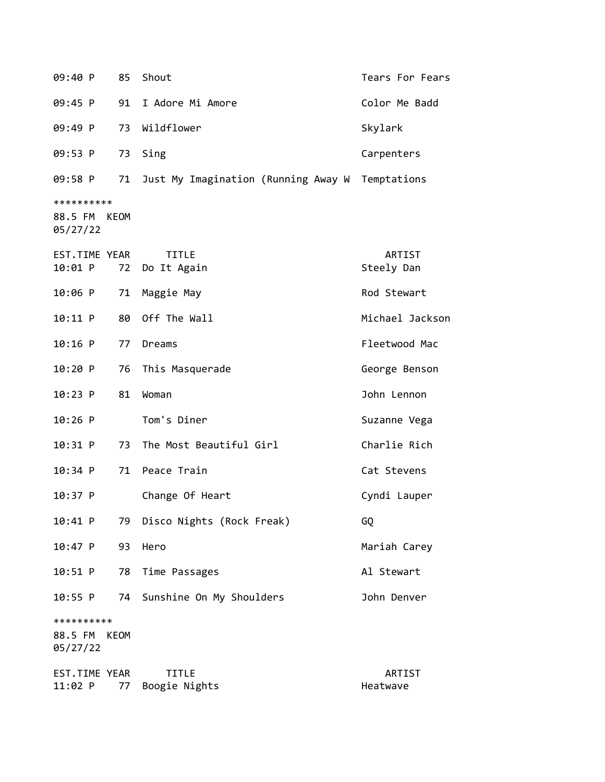| 09:40 P                                | 85   | Shout                                           | Tears For Fears      |
|----------------------------------------|------|-------------------------------------------------|----------------------|
| 09:45 P                                | 91   | I Adore Mi Amore                                | Color Me Badd        |
| 09:49 P                                | 73   | Wildflower                                      | Skylark              |
| 09:53 P                                | 73   | Sing                                            | Carpenters           |
| 09:58 P                                | 71   | Just My Imagination (Running Away W Temptations |                      |
| **********<br>88.5 FM KEOM<br>05/27/22 |      |                                                 |                      |
| EST.TIME YEAR<br>10:01 P               | 72   | TITLE<br>Do It Again                            | ARTIST<br>Steely Dan |
| 10:06 P                                | 71   | Maggie May                                      | Rod Stewart          |
| 10:11 P                                | 80   | Off The Wall                                    | Michael Jackson      |
| $10:16$ P                              | 77   | Dreams                                          | Fleetwood Mac        |
| 10:20 P                                | 76   | This Masquerade                                 | George Benson        |
| 10:23 P                                | 81   | Woman                                           | John Lennon          |
| $10:26$ P                              |      | Tom's Diner                                     | Suzanne Vega         |
| 10:31 P                                | 73   | The Most Beautiful Girl                         | Charlie Rich         |
| 10:34 P                                | 71   | Peace Train                                     | Cat Stevens          |
| 10:37 P                                |      | Change Of Heart                                 | Cyndi Lauper         |
| 10:41 P                                | 79   | Disco Nights (Rock Freak)                       | GQ                   |
| 10:47 P                                | 93   | Hero                                            | Mariah Carey         |
| 10:51 P                                | 78   | Time Passages                                   | Al Stewart           |
| 10:55 P                                | 74   | Sunshine On My Shoulders                        | John Denver          |
| **********<br>88.5 FM<br>05/27/22      | KEOM |                                                 |                      |
| EST.TIME YEAR<br>11:02 P               | 77   | TITLE<br>Boogie Nights                          | ARTIST<br>Heatwave   |